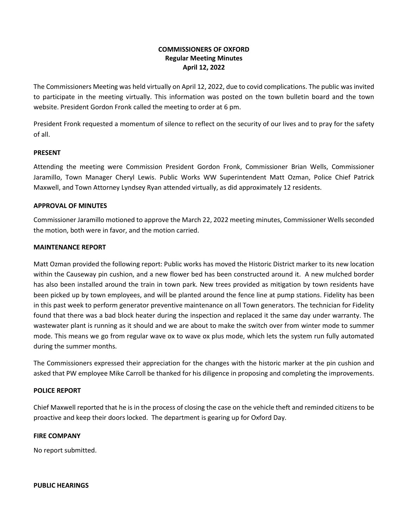# **COMMISSIONERS OF OXFORD Regular Meeting Minutes April 12, 2022**

The Commissioners Meeting was held virtually on April 12, 2022, due to covid complications. The public was invited to participate in the meeting virtually. This information was posted on the town bulletin board and the town website. President Gordon Fronk called the meeting to order at 6 pm.

President Fronk requested a momentum of silence to reflect on the security of our lives and to pray for the safety of all.

### **PRESENT**

Attending the meeting were Commission President Gordon Fronk, Commissioner Brian Wells, Commissioner Jaramillo, Town Manager Cheryl Lewis. Public Works WW Superintendent Matt Ozman, Police Chief Patrick Maxwell, and Town Attorney Lyndsey Ryan attended virtually, as did approximately 12 residents.

### **APPROVAL OF MINUTES**

Commissioner Jaramillo motioned to approve the March 22, 2022 meeting minutes, Commissioner Wells seconded the motion, both were in favor, and the motion carried.

### **MAINTENANCE REPORT**

Matt Ozman provided the following report: Public works has moved the Historic District marker to its new location within the Causeway pin cushion, and a new flower bed has been constructed around it. A new mulched border has also been installed around the train in town park. New trees provided as mitigation by town residents have been picked up by town employees, and will be planted around the fence line at pump stations. Fidelity has been in this past week to perform generator preventive maintenance on all Town generators. The technician for Fidelity found that there was a bad block heater during the inspection and replaced it the same day under warranty. The wastewater plant is running as it should and we are about to make the switch over from winter mode to summer mode. This means we go from regular wave ox to wave ox plus mode, which lets the system run fully automated during the summer months.

The Commissioners expressed their appreciation for the changes with the historic marker at the pin cushion and asked that PW employee Mike Carroll be thanked for his diligence in proposing and completing the improvements.

#### **POLICE REPORT**

Chief Maxwell reported that he is in the process of closing the case on the vehicle theft and reminded citizens to be proactive and keep their doors locked. The department is gearing up for Oxford Day.

#### **FIRE COMPANY**

No report submitted.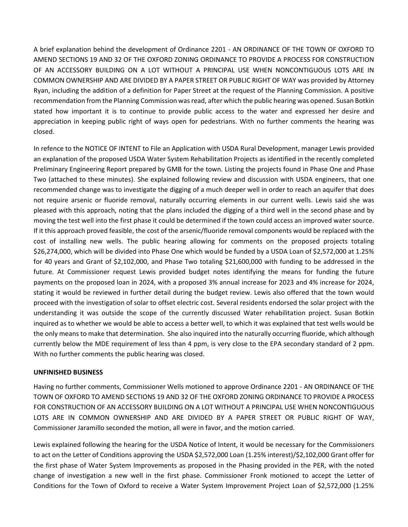A brief explanation behind the development of Ordinance 2201 - AN ORDINANCE OF THE TOWN OF OXFORD TO AMEND SECTIONS 19 AND 32 OF THE OXFORD ZONING ORDINANCE TO PROVIDE A PROCESS FOR CONSTRUCTION OF AN ACCESSORY BUILDING ON A LOT WITHOUT A PRINCIPAL USE WHEN NONCONTIGUOUS LOTS ARE IN COMMON OWNERSHIP AND ARE DIVIDED BY A PAPER STREET OR PUBLIC RIGHT OF WAY was provided by Attorney Ryan, including the addition of a definition for Paper Street at the request of the Planning Commission. A positive recommendation from the Planning Commission was read, after which the public hearing was opened. Susan Botkin stated how important it is to continue to provide public access to the water and expressed her desire and appreciation in keeping public right of ways open for pedestrians. With no further comments the hearing was closed.

In refence to the NOTICE OF INTENT to File an Application with USDA Rural Development, manager Lewis provided an explanation of the proposed USDA Water System Rehabilitation Projects as identified in the recently completed Preliminary Engineering Report prepared by GMB for the town. Listing the projects found in Phase One and Phase Two (attached to these minutes). She explained following review and discussion with USDA engineers, that one recommended change was to investigate the digging of a much deeper well in order to reach an aquifer that does not require arsenic or fluoride removal, naturally occurring elements in our current wells. Lewis said she was pleased with this approach, noting that the plans included the digging of a third well in the second phase and by moving the test well into the first phase it could be determined if the town could access an improved water source. If it this approach proved feasible, the cost of the arsenic/fluoride removal components would be replaced with the cost of installing new wells. The public hearing allowing for comments on the proposed projects totaling \$26,274,000, which will be divided into Phase One which would be funded by a USDA Loan of \$2,572,000 at 1.25% for 40 years and Grant of \$2,102,000, and Phase Two totaling \$21,600,000 with funding to be addressed in the future. At Commissioner request Lewis provided budget notes identifying the means for funding the future payments on the proposed loan in 2024, with a proposed 3% annual increase for 2023 and 4% increase for 2024, stating it would be reviewed in further detail during the budget review. Lewis also offered that the town would proceed with the investigation of solar to offset electric cost. Several residents endorsed the solar project with the understanding it was outside the scope of the currently discussed Water rehabilitation project. Susan Botkin inquired as to whether we would be able to access a better well, to which it was explained that test wells would be the only means to make that determination. She also inquired into the naturally occurring fluoride, which although currently below the MDE requirement of less than 4 ppm, is very close to the EPA secondary standard of 2 ppm. With no further comments the public hearing was closed.

## **UNFINISHED BUSINESS**

Having no further comments, Commissioner Wells motioned to approve Ordinance 2201 - AN ORDINANCE OF THE TOWN OF OXFORD TO AMEND SECTIONS 19 AND 32 OF THE OXFORD ZONING ORDINANCE TO PROVIDE A PROCESS FOR CONSTRUCTION OF AN ACCESSORY BUILDING ON A LOT WITHOUT A PRINCIPAL USE WHEN NONCONTIGUOUS LOTS ARE IN COMMON OWNERSHIP AND ARE DIVIDED BY A PAPER STREET OR PUBLIC RIGHT OF WAY, Commissioner Jaramillo seconded the motion, all were in favor, and the motion carried.

Lewis explained following the hearing for the USDA Notice of Intent, it would be necessary for the Commissioners to act on the Letter of Conditions approving the USDA \$2,572,000 Loan (1.25% interest)/\$2,102,000 Grant offer for the first phase of Water System Improvements as proposed in the Phasing provided in the PER, with the noted change of investigation a new well in the first phase. Commissioner Fronk motioned to accept the Letter of Conditions for the Town of Oxford to receive a Water System Improvement Project Loan of \$2,572,000 (1.25%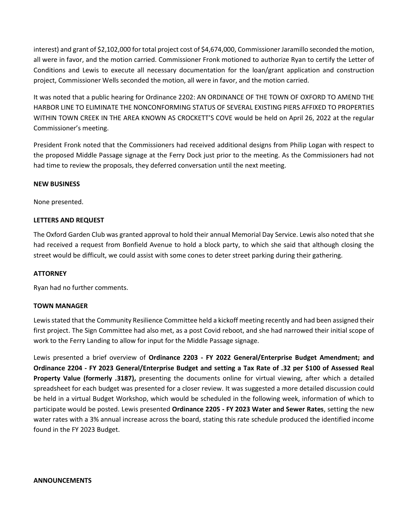interest) and grant of \$2,102,000 for total project cost of \$4,674,000, Commissioner Jaramillo seconded the motion, all were in favor, and the motion carried. Commissioner Fronk motioned to authorize Ryan to certify the Letter of Conditions and Lewis to execute all necessary documentation for the loan/grant application and construction project, Commissioner Wells seconded the motion, all were in favor, and the motion carried.

It was noted that a public hearing for Ordinance 2202: AN ORDINANCE OF THE TOWN OF OXFORD TO AMEND THE HARBOR LINE TO ELIMINATE THE NONCONFORMING STATUS OF SEVERAL EXISTING PIERS AFFIXED TO PROPERTIES WITHIN TOWN CREEK IN THE AREA KNOWN AS CROCKETT'S COVE would be held on April 26, 2022 at the regular Commissioner's meeting.

President Fronk noted that the Commissioners had received additional designs from Philip Logan with respect to the proposed Middle Passage signage at the Ferry Dock just prior to the meeting. As the Commissioners had not had time to review the proposals, they deferred conversation until the next meeting.

## **NEW BUSINESS**

None presented.

## **LETTERS AND REQUEST**

The Oxford Garden Club was granted approval to hold their annual Memorial Day Service. Lewis also noted that she had received a request from Bonfield Avenue to hold a block party, to which she said that although closing the street would be difficult, we could assist with some cones to deter street parking during their gathering.

#### **ATTORNEY**

Ryan had no further comments.

#### **TOWN MANAGER**

Lewis stated that the Community Resilience Committee held a kickoff meeting recently and had been assigned their first project. The Sign Committee had also met, as a post Covid reboot, and she had narrowed their initial scope of work to the Ferry Landing to allow for input for the Middle Passage signage.

Lewis presented a brief overview of **Ordinance 2203 - FY 2022 General/Enterprise Budget Amendment; and Ordinance 2204 - FY 2023 General/Enterprise Budget and setting a Tax Rate of .32 per \$100 of Assessed Real Property Value (formerly .3187),** presenting the documents online for virtual viewing, after which a detailed spreadsheet for each budget was presented for a closer review. It was suggested a more detailed discussion could be held in a virtual Budget Workshop, which would be scheduled in the following week, information of which to participate would be posted. Lewis presented **Ordinance 2205 - FY 2023 Water and Sewer Rates**, setting the new water rates with a 3% annual increase across the board, stating this rate schedule produced the identified income found in the FY 2023 Budget.